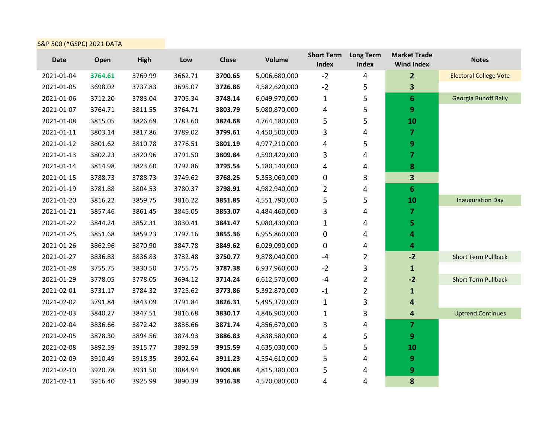## S&P 500 (^GSPC) 2021 DATA

| <b>Date</b> | Open    | High    | Low     | <b>Close</b> | <b>Volume</b> | <b>Short Term</b><br>Index | <b>Long Term</b><br>Index | <b>Market Trade</b><br><b>Wind Index</b> | <b>Notes</b>                  |
|-------------|---------|---------|---------|--------------|---------------|----------------------------|---------------------------|------------------------------------------|-------------------------------|
| 2021-01-04  | 3764.61 | 3769.99 | 3662.71 | 3700.65      | 5,006,680,000 | $-2$                       | 4                         | $\overline{2}$                           | <b>Electoral College Vote</b> |
| 2021-01-05  | 3698.02 | 3737.83 | 3695.07 | 3726.86      | 4,582,620,000 | $-2$                       | 5                         | 3                                        |                               |
| 2021-01-06  | 3712.20 | 3783.04 | 3705.34 | 3748.14      | 6,049,970,000 | $\mathbf{1}$               | 5                         | $6\phantom{1}6$                          | <b>Georgia Runoff Rally</b>   |
| 2021-01-07  | 3764.71 | 3811.55 | 3764.71 | 3803.79      | 5,080,870,000 | 4                          | 5                         | 9                                        |                               |
| 2021-01-08  | 3815.05 | 3826.69 | 3783.60 | 3824.68      | 4,764,180,000 | 5                          | 5                         | 10                                       |                               |
| 2021-01-11  | 3803.14 | 3817.86 | 3789.02 | 3799.61      | 4,450,500,000 | 3                          | 4                         | $\overline{7}$                           |                               |
| 2021-01-12  | 3801.62 | 3810.78 | 3776.51 | 3801.19      | 4,977,210,000 | 4                          | 5                         | 9                                        |                               |
| 2021-01-13  | 3802.23 | 3820.96 | 3791.50 | 3809.84      | 4,590,420,000 | 3                          | 4                         | $\overline{7}$                           |                               |
| 2021-01-14  | 3814.98 | 3823.60 | 3792.86 | 3795.54      | 5,180,140,000 | 4                          | 4                         | 8                                        |                               |
| 2021-01-15  | 3788.73 | 3788.73 | 3749.62 | 3768.25      | 5,353,060,000 | 0                          | 3                         | 3                                        |                               |
| 2021-01-19  | 3781.88 | 3804.53 | 3780.37 | 3798.91      | 4,982,940,000 | $\overline{2}$             | 4                         | $6\phantom{1}6$                          |                               |
| 2021-01-20  | 3816.22 | 3859.75 | 3816.22 | 3851.85      | 4,551,790,000 | 5                          | 5                         | 10                                       | <b>Inauguration Day</b>       |
| 2021-01-21  | 3857.46 | 3861.45 | 3845.05 | 3853.07      | 4,484,460,000 | 3                          | 4                         | $\overline{7}$                           |                               |
| 2021-01-22  | 3844.24 | 3852.31 | 3830.41 | 3841.47      | 5,080,430,000 | $\mathbf{1}$               | 4                         | 5                                        |                               |
| 2021-01-25  | 3851.68 | 3859.23 | 3797.16 | 3855.36      | 6,955,860,000 | $\pmb{0}$                  | 4                         | 4                                        |                               |
| 2021-01-26  | 3862.96 | 3870.90 | 3847.78 | 3849.62      | 6,029,090,000 | 0                          | 4                         | 4                                        |                               |
| 2021-01-27  | 3836.83 | 3836.83 | 3732.48 | 3750.77      | 9,878,040,000 | $-4$                       | 2                         | $-2$                                     | <b>Short Term Pullback</b>    |
| 2021-01-28  | 3755.75 | 3830.50 | 3755.75 | 3787.38      | 6,937,960,000 | $-2$                       | 3                         | $\mathbf{1}$                             |                               |
| 2021-01-29  | 3778.05 | 3778.05 | 3694.12 | 3714.24      | 6,612,570,000 | $-4$                       | $\overline{2}$            | $-2$                                     | <b>Short Term Pullback</b>    |
| 2021-02-01  | 3731.17 | 3784.32 | 3725.62 | 3773.86      | 5,392,870,000 | $-1$                       | $\overline{2}$            | $\mathbf{1}$                             |                               |
| 2021-02-02  | 3791.84 | 3843.09 | 3791.84 | 3826.31      | 5,495,370,000 | $\mathbf{1}$               | 3                         | 4                                        |                               |
| 2021-02-03  | 3840.27 | 3847.51 | 3816.68 | 3830.17      | 4,846,900,000 | $\mathbf{1}$               | 3                         | 4                                        | <b>Uptrend Continues</b>      |
| 2021-02-04  | 3836.66 | 3872.42 | 3836.66 | 3871.74      | 4,856,670,000 | 3                          | 4                         | 7                                        |                               |
| 2021-02-05  | 3878.30 | 3894.56 | 3874.93 | 3886.83      | 4,838,580,000 | 4                          | 5                         | 9                                        |                               |
| 2021-02-08  | 3892.59 | 3915.77 | 3892.59 | 3915.59      | 4,635,030,000 | 5                          | 5                         | 10                                       |                               |
| 2021-02-09  | 3910.49 | 3918.35 | 3902.64 | 3911.23      | 4,554,610,000 | 5                          | 4                         | 9                                        |                               |
| 2021-02-10  | 3920.78 | 3931.50 | 3884.94 | 3909.88      | 4,815,380,000 | 5                          | 4                         | 9                                        |                               |
| 2021-02-11  | 3916.40 | 3925.99 | 3890.39 | 3916.38      | 4,570,080,000 | 4                          | 4                         | 8                                        |                               |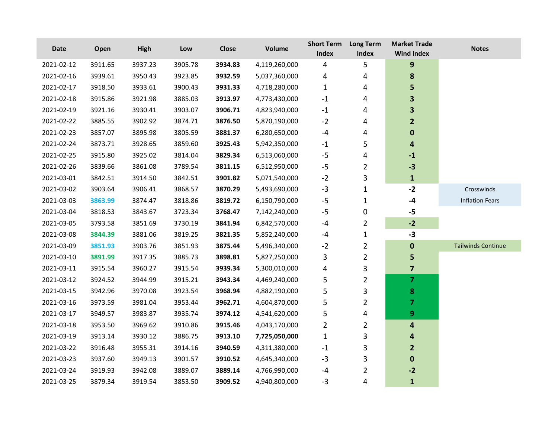| <b>Date</b> | Open    | <b>High</b> | Low     | <b>Close</b> | <b>Volume</b> | <b>Short Term</b><br>Index | <b>Long Term</b><br>Index | <b>Market Trade</b><br><b>Wind Index</b> | <b>Notes</b>              |
|-------------|---------|-------------|---------|--------------|---------------|----------------------------|---------------------------|------------------------------------------|---------------------------|
| 2021-02-12  | 3911.65 | 3937.23     | 3905.78 | 3934.83      | 4,119,260,000 | 4                          | 5                         | $\mathbf{9}$                             |                           |
| 2021-02-16  | 3939.61 | 3950.43     | 3923.85 | 3932.59      | 5,037,360,000 | 4                          | 4                         | 8                                        |                           |
| 2021-02-17  | 3918.50 | 3933.61     | 3900.43 | 3931.33      | 4,718,280,000 | $\mathbf{1}$               | 4                         | 5                                        |                           |
| 2021-02-18  | 3915.86 | 3921.98     | 3885.03 | 3913.97      | 4,773,430,000 | $\mathbf{-1}$              | 4                         | 3                                        |                           |
| 2021-02-19  | 3921.16 | 3930.41     | 3903.07 | 3906.71      | 4,823,940,000 | $\mathbf{-1}$              | 4                         | 3                                        |                           |
| 2021-02-22  | 3885.55 | 3902.92     | 3874.71 | 3876.50      | 5,870,190,000 | $-2$                       | 4                         | $\overline{2}$                           |                           |
| 2021-02-23  | 3857.07 | 3895.98     | 3805.59 | 3881.37      | 6,280,650,000 | -4                         | 4                         | $\bf{0}$                                 |                           |
| 2021-02-24  | 3873.71 | 3928.65     | 3859.60 | 3925.43      | 5,942,350,000 | $-1$                       | 5                         | 4                                        |                           |
| 2021-02-25  | 3915.80 | 3925.02     | 3814.04 | 3829.34      | 6,513,060,000 | $-5$                       | 4                         | $-1$                                     |                           |
| 2021-02-26  | 3839.66 | 3861.08     | 3789.54 | 3811.15      | 6,512,950,000 | $-5$                       | $\overline{2}$            | $-3$                                     |                           |
| 2021-03-01  | 3842.51 | 3914.50     | 3842.51 | 3901.82      | 5,071,540,000 | $-2$                       | 3                         | $\mathbf{1}$                             |                           |
| 2021-03-02  | 3903.64 | 3906.41     | 3868.57 | 3870.29      | 5,493,690,000 | $-3$                       | $\mathbf{1}$              | $-2$                                     | Crosswinds                |
| 2021-03-03  | 3863.99 | 3874.47     | 3818.86 | 3819.72      | 6,150,790,000 | $-5$                       | $\mathbf{1}$              | $-4$                                     | <b>Inflation Fears</b>    |
| 2021-03-04  | 3818.53 | 3843.67     | 3723.34 | 3768.47      | 7,142,240,000 | $-5$                       | 0                         | $-5$                                     |                           |
| 2021-03-05  | 3793.58 | 3851.69     | 3730.19 | 3841.94      | 6,842,570,000 | $-4$                       | 2                         | $-2$                                     |                           |
| 2021-03-08  | 3844.39 | 3881.06     | 3819.25 | 3821.35      | 5,852,240,000 | -4                         | $\mathbf{1}$              | $-3$                                     |                           |
| 2021-03-09  | 3851.93 | 3903.76     | 3851.93 | 3875.44      | 5,496,340,000 | $-2$                       | $\overline{2}$            | $\bf{0}$                                 | <b>Tailwinds Continue</b> |
| 2021-03-10  | 3891.99 | 3917.35     | 3885.73 | 3898.81      | 5,827,250,000 | 3                          | $\overline{2}$            | 5                                        |                           |
| 2021-03-11  | 3915.54 | 3960.27     | 3915.54 | 3939.34      | 5,300,010,000 | 4                          | 3                         | $\overline{\mathbf{z}}$                  |                           |
| 2021-03-12  | 3924.52 | 3944.99     | 3915.21 | 3943.34      | 4,469,240,000 | 5                          | $\overline{2}$            | 7                                        |                           |
| 2021-03-15  | 3942.96 | 3970.08     | 3923.54 | 3968.94      | 4,882,190,000 | 5                          | 3                         | 8                                        |                           |
| 2021-03-16  | 3973.59 | 3981.04     | 3953.44 | 3962.71      | 4,604,870,000 | 5                          | 2                         | 7                                        |                           |
| 2021-03-17  | 3949.57 | 3983.87     | 3935.74 | 3974.12      | 4,541,620,000 | 5                          | 4                         | 9                                        |                           |
| 2021-03-18  | 3953.50 | 3969.62     | 3910.86 | 3915.46      | 4,043,170,000 | $\overline{2}$             | 2                         | 4                                        |                           |
| 2021-03-19  | 3913.14 | 3930.12     | 3886.75 | 3913.10      | 7,725,050,000 | $\mathbf 1$                | 3                         | 4                                        |                           |
| 2021-03-22  | 3916.48 | 3955.31     | 3914.16 | 3940.59      | 4,311,380,000 | $-1$                       | 3                         | $\overline{2}$                           |                           |
| 2021-03-23  | 3937.60 | 3949.13     | 3901.57 | 3910.52      | 4,645,340,000 | $-3$                       | 3                         | $\bf{0}$                                 |                           |
| 2021-03-24  | 3919.93 | 3942.08     | 3889.07 | 3889.14      | 4,766,990,000 | -4                         | 2                         | $-2$                                     |                           |
| 2021-03-25  | 3879.34 | 3919.54     | 3853.50 | 3909.52      | 4,940,800,000 | $-3$                       | 4                         | $\mathbf{1}$                             |                           |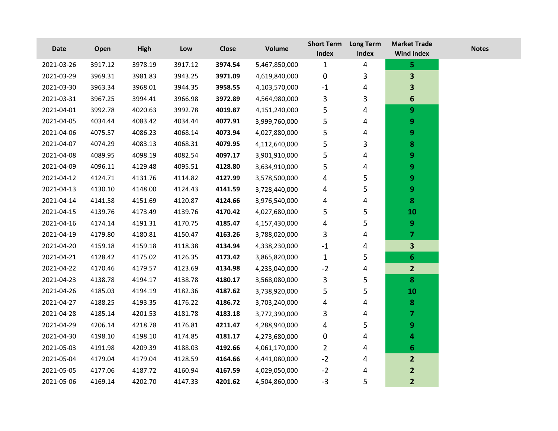| <b>Date</b> | Open    | <b>High</b> | Low     | Close   | <b>Volume</b> | <b>Short Term</b><br><b>Index</b> | <b>Long Term</b><br>Index | <b>Market Trade</b><br><b>Wind Index</b> | <b>Notes</b> |
|-------------|---------|-------------|---------|---------|---------------|-----------------------------------|---------------------------|------------------------------------------|--------------|
| 2021-03-26  | 3917.12 | 3978.19     | 3917.12 | 3974.54 | 5,467,850,000 | $\mathbf{1}$                      | $\overline{4}$            | 5                                        |              |
| 2021-03-29  | 3969.31 | 3981.83     | 3943.25 | 3971.09 | 4,619,840,000 | $\mathbf 0$                       | 3                         | 3                                        |              |
| 2021-03-30  | 3963.34 | 3968.01     | 3944.35 | 3958.55 | 4,103,570,000 | $-1$                              | 4                         | 3                                        |              |
| 2021-03-31  | 3967.25 | 3994.41     | 3966.98 | 3972.89 | 4,564,980,000 | 3                                 | 3                         | 6                                        |              |
| 2021-04-01  | 3992.78 | 4020.63     | 3992.78 | 4019.87 | 4,151,240,000 | 5                                 | 4                         | 9                                        |              |
| 2021-04-05  | 4034.44 | 4083.42     | 4034.44 | 4077.91 | 3,999,760,000 | 5                                 | 4                         | 9                                        |              |
| 2021-04-06  | 4075.57 | 4086.23     | 4068.14 | 4073.94 | 4,027,880,000 | 5                                 | 4                         | 9                                        |              |
| 2021-04-07  | 4074.29 | 4083.13     | 4068.31 | 4079.95 | 4,112,640,000 | 5                                 | 3                         | 8                                        |              |
| 2021-04-08  | 4089.95 | 4098.19     | 4082.54 | 4097.17 | 3,901,910,000 | 5                                 | 4                         | 9                                        |              |
| 2021-04-09  | 4096.11 | 4129.48     | 4095.51 | 4128.80 | 3,634,910,000 | 5                                 | 4                         | 9                                        |              |
| 2021-04-12  | 4124.71 | 4131.76     | 4114.82 | 4127.99 | 3,578,500,000 | 4                                 | 5                         | 9                                        |              |
| 2021-04-13  | 4130.10 | 4148.00     | 4124.43 | 4141.59 | 3,728,440,000 | 4                                 | 5                         | 9                                        |              |
| 2021-04-14  | 4141.58 | 4151.69     | 4120.87 | 4124.66 | 3,976,540,000 | 4                                 | 4                         | 8                                        |              |
| 2021-04-15  | 4139.76 | 4173.49     | 4139.76 | 4170.42 | 4,027,680,000 | 5                                 | 5                         | <b>10</b>                                |              |
| 2021-04-16  | 4174.14 | 4191.31     | 4170.75 | 4185.47 | 4,157,430,000 | 4                                 | 5                         | 9                                        |              |
| 2021-04-19  | 4179.80 | 4180.81     | 4150.47 | 4163.26 | 3,788,020,000 | 3                                 | 4                         | $\overline{\mathbf{z}}$                  |              |
| 2021-04-20  | 4159.18 | 4159.18     | 4118.38 | 4134.94 | 4,338,230,000 | $-1$                              | 4                         | $\overline{\mathbf{3}}$                  |              |
| 2021-04-21  | 4128.42 | 4175.02     | 4126.35 | 4173.42 | 3,865,820,000 | $\mathbf{1}$                      | 5                         | $6 \nightharpoonup$                      |              |
| 2021-04-22  | 4170.46 | 4179.57     | 4123.69 | 4134.98 | 4,235,040,000 | $-2$                              | 4                         | $\overline{2}$                           |              |
| 2021-04-23  | 4138.78 | 4194.17     | 4138.78 | 4180.17 | 3,568,080,000 | 3                                 | 5                         | $\boldsymbol{8}$                         |              |
| 2021-04-26  | 4185.03 | 4194.19     | 4182.36 | 4187.62 | 3,738,920,000 | 5                                 | 5                         | 10                                       |              |
| 2021-04-27  | 4188.25 | 4193.35     | 4176.22 | 4186.72 | 3,703,240,000 | 4                                 | 4                         | $\boldsymbol{8}$                         |              |
| 2021-04-28  | 4185.14 | 4201.53     | 4181.78 | 4183.18 | 3,772,390,000 | 3                                 | 4                         | 7                                        |              |
| 2021-04-29  | 4206.14 | 4218.78     | 4176.81 | 4211.47 | 4,288,940,000 | 4                                 | 5                         | 9                                        |              |
| 2021-04-30  | 4198.10 | 4198.10     | 4174.85 | 4181.17 | 4,273,680,000 | 0                                 | 4                         | 4                                        |              |
| 2021-05-03  | 4191.98 | 4209.39     | 4188.03 | 4192.66 | 4,061,170,000 | $\overline{2}$                    | 4                         | 6                                        |              |
| 2021-05-04  | 4179.04 | 4179.04     | 4128.59 | 4164.66 | 4,441,080,000 | $-2$                              | 4                         | $\overline{2}$                           |              |
| 2021-05-05  | 4177.06 | 4187.72     | 4160.94 | 4167.59 | 4,029,050,000 | $-2$                              | 4                         | $\mathbf{2}$                             |              |
| 2021-05-06  | 4169.14 | 4202.70     | 4147.33 | 4201.62 | 4,504,860,000 | $-3$                              | 5                         | $\overline{2}$                           |              |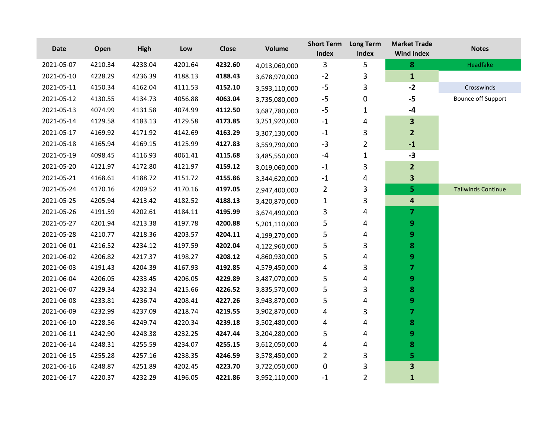| Date       | Open    | High    | Low     | <b>Close</b> | Volume        | <b>Short Term</b><br>Index | <b>Long Term</b><br>Index | <b>Market Trade</b><br><b>Wind Index</b> | <b>Notes</b>              |
|------------|---------|---------|---------|--------------|---------------|----------------------------|---------------------------|------------------------------------------|---------------------------|
| 2021-05-07 | 4210.34 | 4238.04 | 4201.64 | 4232.60      | 4,013,060,000 | 3                          | 5                         | 8                                        | Headfake                  |
| 2021-05-10 | 4228.29 | 4236.39 | 4188.13 | 4188.43      | 3,678,970,000 | $-2$                       | 3                         | $\mathbf{1}$                             |                           |
| 2021-05-11 | 4150.34 | 4162.04 | 4111.53 | 4152.10      | 3,593,110,000 | $-5$                       | 3                         | $-2$                                     | Crosswinds                |
| 2021-05-12 | 4130.55 | 4134.73 | 4056.88 | 4063.04      | 3,735,080,000 | $-5$                       | $\pmb{0}$                 | $-5$                                     | <b>Bounce off Support</b> |
| 2021-05-13 | 4074.99 | 4131.58 | 4074.99 | 4112.50      | 3,687,780,000 | $-5$                       | 1                         | -4                                       |                           |
| 2021-05-14 | 4129.58 | 4183.13 | 4129.58 | 4173.85      | 3,251,920,000 | $-1$                       | 4                         | $\overline{\mathbf{3}}$                  |                           |
| 2021-05-17 | 4169.92 | 4171.92 | 4142.69 | 4163.29      | 3,307,130,000 | $-1$                       | 3                         | $\overline{2}$                           |                           |
| 2021-05-18 | 4165.94 | 4169.15 | 4125.99 | 4127.83      | 3,559,790,000 | $-3$                       | $\overline{2}$            | $\textbf{-1}$                            |                           |
| 2021-05-19 | 4098.45 | 4116.93 | 4061.41 | 4115.68      | 3,485,550,000 | $-4$                       | $\mathbf 1$               | $-3$                                     |                           |
| 2021-05-20 | 4121.97 | 4172.80 | 4121.97 | 4159.12      | 3,019,060,000 | $-1$                       | 3                         | $\mathbf{2}$                             |                           |
| 2021-05-21 | 4168.61 | 4188.72 | 4151.72 | 4155.86      | 3,344,620,000 | $^{\rm -1}$                | 4                         | $\overline{\mathbf{3}}$                  |                           |
| 2021-05-24 | 4170.16 | 4209.52 | 4170.16 | 4197.05      | 2,947,400,000 | $\overline{2}$             | 3                         | 5                                        | <b>Tailwinds Continue</b> |
| 2021-05-25 | 4205.94 | 4213.42 | 4182.52 | 4188.13      | 3,420,870,000 | $\mathbf{1}$               | 3                         | 4                                        |                           |
| 2021-05-26 | 4191.59 | 4202.61 | 4184.11 | 4195.99      | 3,674,490,000 | 3                          | 4                         | $\overline{7}$                           |                           |
| 2021-05-27 | 4201.94 | 4213.38 | 4197.78 | 4200.88      | 5,201,110,000 | 5                          | 4                         | 9                                        |                           |
| 2021-05-28 | 4210.77 | 4218.36 | 4203.57 | 4204.11      | 4,199,270,000 | 5                          | 4                         | 9                                        |                           |
| 2021-06-01 | 4216.52 | 4234.12 | 4197.59 | 4202.04      | 4,122,960,000 | 5                          | 3                         | 8                                        |                           |
| 2021-06-02 | 4206.82 | 4217.37 | 4198.27 | 4208.12      | 4,860,930,000 | 5                          | 4                         | 9                                        |                           |
| 2021-06-03 | 4191.43 | 4204.39 | 4167.93 | 4192.85      | 4,579,450,000 | 4                          | 3                         | 7                                        |                           |
| 2021-06-04 | 4206.05 | 4233.45 | 4206.05 | 4229.89      | 3,487,070,000 | 5                          | 4                         | 9                                        |                           |
| 2021-06-07 | 4229.34 | 4232.34 | 4215.66 | 4226.52      | 3,835,570,000 | 5                          | 3                         | 8                                        |                           |
| 2021-06-08 | 4233.81 | 4236.74 | 4208.41 | 4227.26      | 3,943,870,000 | 5                          | 4                         | 9                                        |                           |
| 2021-06-09 | 4232.99 | 4237.09 | 4218.74 | 4219.55      | 3,902,870,000 | 4                          | 3                         | $\overline{\mathbf{z}}$                  |                           |
| 2021-06-10 | 4228.56 | 4249.74 | 4220.34 | 4239.18      | 3,502,480,000 | 4                          | 4                         | 8                                        |                           |
| 2021-06-11 | 4242.90 | 4248.38 | 4232.25 | 4247.44      | 3,204,280,000 | 5                          | 4                         | 9                                        |                           |
| 2021-06-14 | 4248.31 | 4255.59 | 4234.07 | 4255.15      | 3,612,050,000 | 4                          | 4                         | 8                                        |                           |
| 2021-06-15 | 4255.28 | 4257.16 | 4238.35 | 4246.59      | 3,578,450,000 | $\overline{2}$             | 3                         | 5                                        |                           |
| 2021-06-16 | 4248.87 | 4251.89 | 4202.45 | 4223.70      | 3,722,050,000 | 0                          | 3                         | $\overline{\mathbf{3}}$                  |                           |
| 2021-06-17 | 4220.37 | 4232.29 | 4196.05 | 4221.86      | 3,952,110,000 | $-1$                       | $\overline{2}$            | $\mathbf{1}$                             |                           |